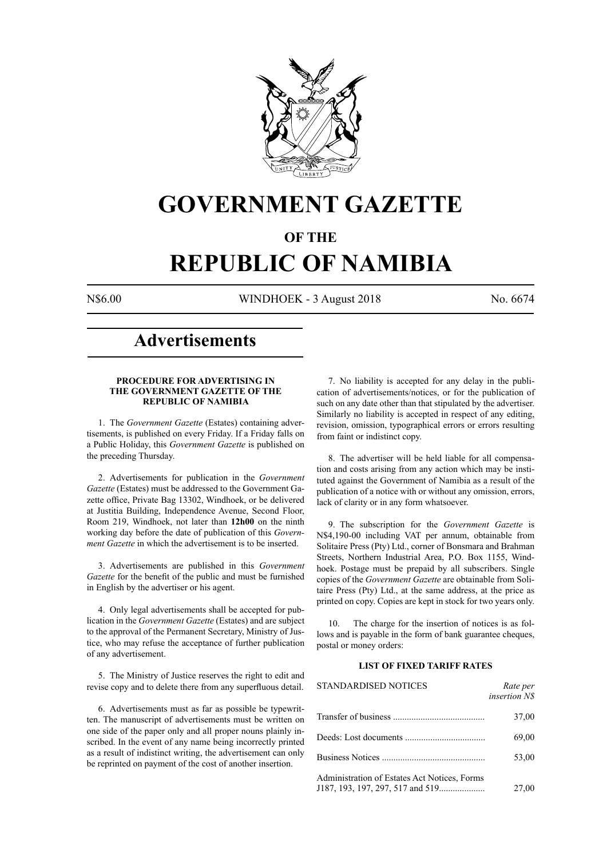

## **GOVERNMENT GAZETTE**

### **OF THE**

# **REPUBLIC OF NAMIBIA**

N\$6.00 WINDHOEK - 3 August 2018 No. 6674

### **Advertisements**

#### **PROCEDURE FOR ADVERTISING IN THE GOVERNMENT GAZETTE OF THE REPUBLIC OF NAMIBIA**

1. The *Government Gazette* (Estates) containing advertisements, is published on every Friday. If a Friday falls on a Public Holiday, this *Government Gazette* is published on the preceding Thursday.

2. Advertisements for publication in the *Government Gazette* (Estates) must be addressed to the Government Gazette office, Private Bag 13302, Windhoek, or be delivered at Justitia Building, Independence Avenue, Second Floor, Room 219, Windhoek, not later than **12h00** on the ninth working day before the date of publication of this *Government Gazette* in which the advertisement is to be inserted.

3. Advertisements are published in this *Government Gazette* for the benefit of the public and must be furnished in English by the advertiser or his agent.

4. Only legal advertisements shall be accepted for publication in the *Government Gazette* (Estates) and are subject to the approval of the Permanent Secretary, Ministry of Justice, who may refuse the acceptance of further publication of any advertisement.

5. The Ministry of Justice reserves the right to edit and revise copy and to delete there from any superfluous detail.

6. Advertisements must as far as possible be typewritten. The manuscript of advertisements must be written on one side of the paper only and all proper nouns plainly inscribed. In the event of any name being incorrectly printed as a result of indistinct writing, the advertisement can only be reprinted on payment of the cost of another insertion.

7. No liability is accepted for any delay in the publication of advertisements/notices, or for the publication of such on any date other than that stipulated by the advertiser. Similarly no liability is accepted in respect of any editing, revision, omission, typographical errors or errors resulting from faint or indistinct copy.

8. The advertiser will be held liable for all compensation and costs arising from any action which may be instituted against the Government of Namibia as a result of the publication of a notice with or without any omission, errors, lack of clarity or in any form whatsoever.

9. The subscription for the *Government Gazette* is N\$4,190-00 including VAT per annum, obtainable from Solitaire Press (Pty) Ltd., corner of Bonsmara and Brahman Streets, Northern Industrial Area, P.O. Box 1155, Windhoek. Postage must be prepaid by all subscribers. Single copies of the *Government Gazette* are obtainable from Solitaire Press (Pty) Ltd., at the same address, at the price as printed on copy. Copies are kept in stock for two years only.

10. The charge for the insertion of notices is as follows and is payable in the form of bank guarantee cheques, postal or money orders:

#### **LIST OF FIXED TARIFF RATES**

| <b>STANDARDISED NOTICES</b>                  | Rate per<br><i>insertion NS</i> |
|----------------------------------------------|---------------------------------|
|                                              | 37,00                           |
|                                              | 69,00                           |
|                                              | 53,00                           |
| Administration of Estates Act Notices, Forms | 27,00                           |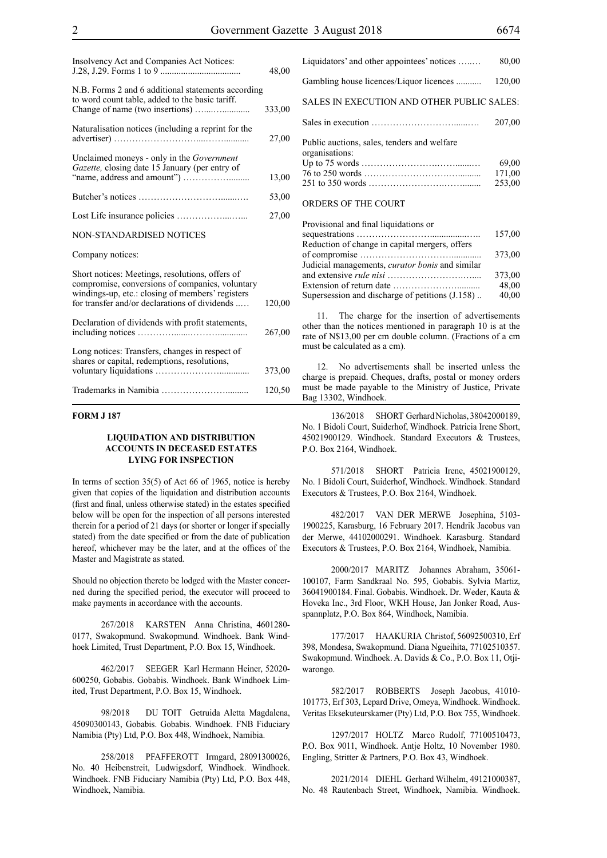| Insolvency Act and Companies Act Notices:                                                                                                                                                               | 48,00  |
|---------------------------------------------------------------------------------------------------------------------------------------------------------------------------------------------------------|--------|
| N.B. Forms 2 and 6 additional statements according<br>to word count table, added to the basic tariff.                                                                                                   | 333,00 |
| Naturalisation notices (including a reprint for the                                                                                                                                                     | 27,00  |
| Unclaimed moneys - only in the Government<br>Gazette, closing date 15 January (per entry of                                                                                                             | 13,00  |
|                                                                                                                                                                                                         | 53,00  |
|                                                                                                                                                                                                         | 27,00  |
| NON-STANDARDISED NOTICES                                                                                                                                                                                |        |
| Company notices:                                                                                                                                                                                        |        |
| Short notices: Meetings, resolutions, offers of<br>compromise, conversions of companies, voluntary<br>windings-up, etc.: closing of members' registers<br>for transfer and/or declarations of dividends | 120,00 |
| Declaration of dividends with profit statements,                                                                                                                                                        | 267,00 |
| Long notices: Transfers, changes in respect of<br>shares or capital, redemptions, resolutions,                                                                                                          | 373,00 |
|                                                                                                                                                                                                         | 120,50 |

#### **FORM J 187**

#### **LIQUIDATION AND DISTRIBUTION ACCOUNTS IN DECEASED ESTATES LYING FOR INSPECTION**

In terms of section 35(5) of Act 66 of 1965, notice is hereby given that copies of the liquidation and distribution accounts (first and final, unless otherwise stated) in the estates specified below will be open for the inspection of all persons interested therein for a period of 21 days (or shorter or longer if specially stated) from the date specified or from the date of publication hereof, whichever may be the later, and at the offices of the Master and Magistrate as stated.

Should no objection thereto be lodged with the Master concerned during the specified period, the executor will proceed to make payments in accordance with the accounts.

267/2018 KARSTEN Anna Christina, 4601280-0177, Swakopmund. Swakopmund. Windhoek. Bank Windhoek Limited, Trust Department, P.O. Box 15, Windhoek.

462/2017 SEEGER Karl Hermann Heiner, 52020- 600250, Gobabis. Gobabis. Windhoek. Bank Windhoek Limited, Trust Department, P.O. Box 15, Windhoek.

98/2018 DU TOIT Getruida Aletta Magdalena, 45090300143, Gobabis. Gobabis. Windhoek. FNB Fiduciary Namibia (Pty) Ltd, P.O. Box 448, Windhoek, Namibia.

258/2018 PFAFFEROTT Irmgard, 28091300026, No. 40 Heibenstreit, Ludwigsdorf, Windhoek. Windhoek. Windhoek. FNB Fiduciary Namibia (Pty) Ltd, P.O. Box 448, Windhoek, Namibia.

| Liquidators' and other appointees' notices                    | 80,00  |
|---------------------------------------------------------------|--------|
| Gambling house licences/Liquor licences                       | 120,00 |
| SALES IN EXECUTION AND OTHER PUBLIC SALES:                    |        |
|                                                               | 207,00 |
| Public auctions, sales, tenders and welfare<br>organisations: |        |
|                                                               | 69.00  |
|                                                               | 171,00 |
|                                                               | 253,00 |
| ORDERS OF THE COURT                                           |        |

| Provisional and final liquidations or                  |        |
|--------------------------------------------------------|--------|
|                                                        | 157,00 |
| Reduction of change in capital mergers, offers         |        |
|                                                        | 373,00 |
| Judicial managements, <i>curator bonis</i> and similar |        |
|                                                        | 373,00 |
|                                                        | 48,00  |
| Supersession and discharge of petitions (J.158)        | 40,00  |

11. The charge for the insertion of advertisements other than the notices mentioned in paragraph 10 is at the rate of N\$13,00 per cm double column. (Fractions of a cm must be calculated as a cm).

12. No advertisements shall be inserted unless the charge is prepaid. Cheques, drafts, postal or money orders must be made payable to the Ministry of Justice, Private Bag 13302, Windhoek.

136/2018 SHORT Gerhard Nicholas, 38042000189, No. 1 Bidoli Court, Suiderhof, Windhoek. Patricia Irene Short, 45021900129. Windhoek. Standard Executors & Trustees, P.O. Box 2164, Windhoek.

571/2018 SHORT Patricia Irene, 45021900129, No. 1 Bidoli Court, Suiderhof, Windhoek. Windhoek. Standard Executors & Trustees, P.O. Box 2164, Windhoek.

482/2017 VAN DER MERWE Josephina, 5103- 1900225, Karasburg, 16 February 2017. Hendrik Jacobus van der Merwe, 44102000291. Windhoek. Karasburg. Standard Executors & Trustees, P.O. Box 2164, Windhoek, Namibia.

2000/2017 MARITZ Johannes Abraham, 35061- 100107, Farm Sandkraal No. 595, Gobabis. Sylvia Martiz, 36041900184. Final. Gobabis. Windhoek. Dr. Weder, Kauta & Hoveka Inc., 3rd Floor, WKH House, Jan Jonker Road, Ausspannplatz, P.O. Box 864, Windhoek, Namibia.

177/2017 HAAKURIA Christof, 56092500310, Erf 398, Mondesa, Swakopmund. Diana Ngueihita, 77102510357. Swakopmund. Windhoek. A. Davids & Co., P.O. Box 11, Otjiwarongo.

582/2017 ROBBERTS Joseph Jacobus, 41010- 101773, Erf 303, Lepard Drive, Omeya, Windhoek. Windhoek. Veritas Eksekuteurskamer (Pty) Ltd, P.O. Box 755, Windhoek.

1297/2017 HOLTZ Marco Rudolf, 77100510473, P.O. Box 9011, Windhoek. Antje Holtz, 10 November 1980. Engling, Stritter & Partners, P.O. Box 43, Windhoek.

2021/2014 DIEHL Gerhard Wilhelm, 49121000387, No. 48 Rautenbach Street, Windhoek, Namibia. Windhoek.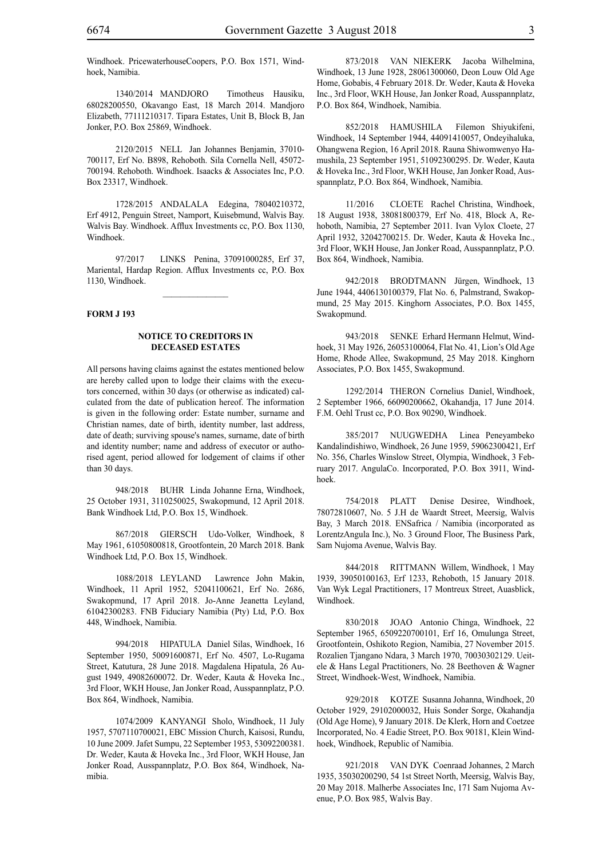Windhoek. PricewaterhouseCoopers, P.O. Box 1571, Windhoek, Namibia.

1340/2014 MANDJORO Timotheus Hausiku, 68028200550, Okavango East, 18 March 2014. Mandjoro Elizabeth, 77111210317. Tipara Estates, Unit B, Block B, Jan Jonker, P.O. Box 25869, Windhoek.

2120/2015 NELL Jan Johannes Benjamin, 37010- 700117, Erf No. B898, Rehoboth. Sila Cornella Nell, 45072- 700194. Rehoboth. Windhoek. Isaacks & Associates Inc, P.O. Box 23317, Windhoek.

1728/2015 ANDALALA Edegina, 78040210372, Erf 4912, Penguin Street, Namport, Kuisebmund, Walvis Bay. Walvis Bay. Windhoek. Afflux Investments cc, P.O. Box 1130, Windhoek.

97/2017 LINKS Penina, 37091000285, Erf 37, Mariental, Hardap Region. Afflux Investments cc, P.O. Box 1130, Windhoek.

 $\frac{1}{2}$ 

#### **FORM J 193**

#### **NOTICE TO CREDITORS IN DECEASED ESTATES**

All persons having claims against the estates mentioned below are hereby called upon to lodge their claims with the executors concerned, within 30 days (or otherwise as indicated) calculated from the date of publication hereof. The information is given in the following order: Estate number, surname and Christian names, date of birth, identity number, last address, date of death; surviving spouse's names, surname, date of birth and identity number; name and address of executor or authorised agent, period allowed for lodgement of claims if other than 30 days.

948/2018 BUHR Linda Johanne Erna, Windhoek, 25 October 1931, 3110250025, Swakopmund, 12 April 2018. Bank Windhoek Ltd, P.O. Box 15, Windhoek.

867/2018 GIERSCH Udo-Volker, Windhoek, 8 May 1961, 61050800818, Grootfontein, 20 March 2018. Bank Windhoek Ltd, P.O. Box 15, Windhoek.

1088/2018 LEYLAND Lawrence John Makin, Windhoek, 11 April 1952, 52041100621, Erf No. 2686, Swakopmund, 17 April 2018. Jo-Anne Jeanetta Leyland, 61042300283. FNB Fiduciary Namibia (Pty) Ltd, P.O. Box 448, Windhoek, Namibia.

994/2018 HIPATULA Daniel Silas, Windhoek, 16 September 1950, 50091600871, Erf No. 4507, Lo-Rugama Street, Katutura, 28 June 2018. Magdalena Hipatula, 26 August 1949, 49082600072. Dr. Weder, Kauta & Hoveka Inc., 3rd Floor, WKH House, Jan Jonker Road, Ausspannplatz, P.O. Box 864, Windhoek, Namibia.

1074/2009 KANYANGI Sholo, Windhoek, 11 July 1957, 5707110700021, EBC Mission Church, Kaisosi, Rundu, 10 June 2009. Jafet Sumpu, 22 September 1953, 53092200381. Dr. Weder, Kauta & Hoveka Inc., 3rd Floor, WKH House, Jan Jonker Road, Ausspannplatz, P.O. Box 864, Windhoek, Namibia.

873/2018 VAN NIEKERK Jacoba Wilhelmina, Windhoek, 13 June 1928, 28061300060, Deon Louw Old Age Home, Gobabis, 4 February 2018. Dr. Weder, Kauta & Hoveka Inc., 3rd Floor, WKH House, Jan Jonker Road, Ausspannplatz, P.O. Box 864, Windhoek, Namibia.

852/2018 HAMUSHILA Filemon Shiyukifeni, Windhoek, 14 September 1944, 44091410057, Ondeyihaluka, Ohangwena Region, 16 April 2018. Rauna Shiwomwenyo Hamushila, 23 September 1951, 51092300295. Dr. Weder, Kauta & Hoveka Inc., 3rd Floor, WKH House, Jan Jonker Road, Ausspannplatz, P.O. Box 864, Windhoek, Namibia.

11/2016 CLOETE Rachel Christina, Windhoek, 18 August 1938, 38081800379, Erf No. 418, Block A, Rehoboth, Namibia, 27 September 2011. Ivan Vylox Cloete, 27 April 1932, 32042700215. Dr. Weder, Kauta & Hoveka Inc., 3rd Floor, WKH House, Jan Jonker Road, Ausspannplatz, P.O. Box 864, Windhoek, Namibia.

942/2018 BRODTMANN Jürgen, Windhoek, 13 June 1944, 4406130100379, Flat No. 6, Palmstrand, Swakopmund, 25 May 2015. Kinghorn Associates, P.O. Box 1455, Swakopmund.

943/2018 SENKE Erhard Hermann Helmut, Windhoek, 31 May 1926, 26053100064, Flat No. 41, Lion's Old Age Home, Rhode Allee, Swakopmund, 25 May 2018. Kinghorn Associates, P.O. Box 1455, Swakopmund.

1292/2014 THERON Cornelius Daniel, Windhoek, 2 September 1966, 66090200662, Okahandja, 17 June 2014. F.M. Oehl Trust cc, P.O. Box 90290, Windhoek.

385/2017 NUUGWEDHA Linea Peneyambeko Kandalindishiwo, Windhoek, 26 June 1959, 59062300421, Erf No. 356, Charles Winslow Street, Olympia, Windhoek, 3 February 2017. AngulaCo. Incorporated, P.O. Box 3911, Windhoek.

754/2018 PLATT Denise Desiree, Windhoek, 78072810607, No. 5 J.H de Waardt Street, Meersig, Walvis Bay, 3 March 2018. ENSafrica / Namibia (incorporated as LorentzAngula Inc.), No. 3 Ground Floor, The Business Park, Sam Nujoma Avenue, Walvis Bay.

844/2018 RITTMANN Willem, Windhoek, 1 May 1939, 39050100163, Erf 1233, Rehoboth, 15 January 2018. Van Wyk Legal Practitioners, 17 Montreux Street, Auasblick, Windhoek.

830/2018 JOAO Antonio Chinga, Windhoek, 22 September 1965, 6509220700101, Erf 16, Omulunga Street, Grootfontein, Oshikoto Region, Namibia, 27 November 2015. Rozalien Tjangano Ndara, 3 March 1970, 70030302129. Ueitele & Hans Legal Practitioners, No. 28 Beethoven & Wagner Street, Windhoek-West, Windhoek, Namibia.

929/2018 KOTZE Susanna Johanna, Windhoek, 20 October 1929, 29102000032, Huis Sonder Sorge, Okahandja (Old Age Home), 9 January 2018. De Klerk, Horn and Coetzee Incorporated, No. 4 Eadie Street, P.O. Box 90181, Klein Windhoek, Windhoek, Republic of Namibia.

921/2018 VAN DYK Coenraad Johannes, 2 March 1935, 35030200290, 54 1st Street North, Meersig, Walvis Bay, 20 May 2018. Malherbe Associates Inc, 171 Sam Nujoma Avenue, P.O. Box 985, Walvis Bay.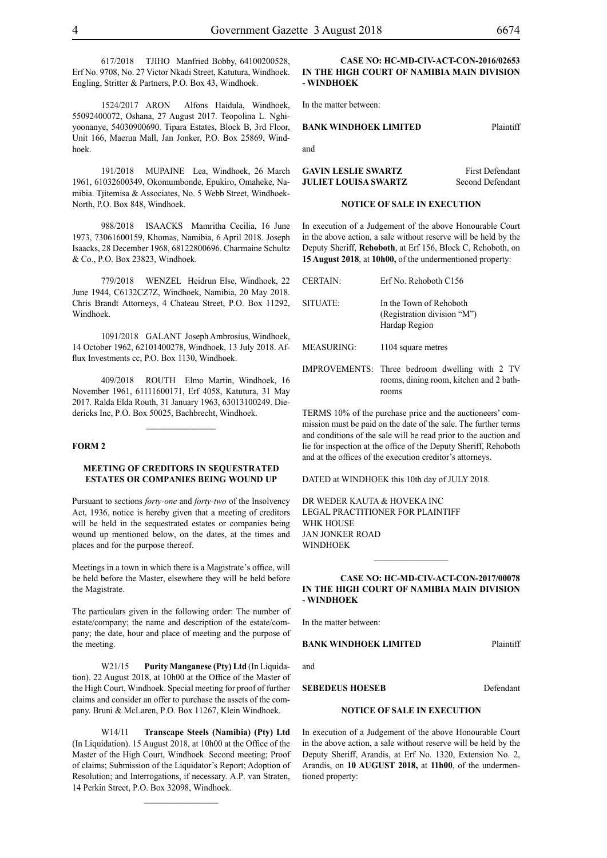617/2018 TJIHO Manfried Bobby, 64100200528, Erf No. 9708, No. 27 Victor Nkadi Street, Katutura, Windhoek. Engling, Stritter & Partners, P.O. Box 43, Windhoek.

1524/2017 ARON Alfons Haidula, Windhoek, 55092400072, Oshana, 27 August 2017. Teopolina L. Nghiyoonanye, 54030900690. Tipara Estates, Block B, 3rd Floor, Unit 166, Maerua Mall, Jan Jonker, P.O. Box 25869, Windhoek.

191/2018 MUPAINE Lea, Windhoek, 26 March 1961, 61032600349, Okomumbonde, Epukiro, Omaheke, Namibia. Tjitemisa & Associates, No. 5 Webb Street, Windhoek-North, P.O. Box 848, Windhoek.

988/2018 ISAACKS Mamritha Cecilia, 16 June 1973, 73061600159, Khomas, Namibia, 6 April 2018. Joseph Isaacks, 28 December 1968, 68122800696. Charmaine Schultz & Co., P.O. Box 23823, Windhoek.

779/2018 WENZEL Heidrun Else, Windhoek, 22 June 1944, C6132CZ7Z, Windhoek, Namibia, 20 May 2018. Chris Brandt Attorneys, 4 Chateau Street, P.O. Box 11292, Windhoek.

1091/2018 GALANT Joseph Ambrosius, Windhoek, 14 October 1962, 62101400278, Windhoek, 13 July 2018. Afflux Investments cc, P.O. Box 1130, Windhoek.

409/2018 ROUTH Elmo Martin, Windhoek, 16 November 1961, 61111600171, Erf 4058, Katutura, 31 May 2017. Ralda Elda Routh, 31 January 1963, 63013100249. Diedericks Inc, P.O. Box 50025, Bachbrecht, Windhoek.

 $\frac{1}{2}$ 

#### **FORM 2**

#### **MEETING OF CREDITORS IN SEQUESTRATED ESTATES OR COMPANIES BEING WOUND UP**

Pursuant to sections *forty-one* and *forty-two* of the Insolvency Act, 1936, notice is hereby given that a meeting of creditors will be held in the sequestrated estates or companies being wound up mentioned below, on the dates, at the times and places and for the purpose thereof.

Meetings in a town in which there is a Magistrate's office, will be held before the Master, elsewhere they will be held before the Magistrate.

The particulars given in the following order: The number of estate/company; the name and description of the estate/company; the date, hour and place of meeting and the purpose of the meeting.

W21/15 **Purity Manganese (Pty) Ltd** (In Liquidation). 22 August 2018, at 10h00 at the Office of the Master of the High Court, Windhoek. Special meeting for proof of further claims and consider an offer to purchase the assets of the company. Bruni & McLaren, P.O. Box 11267, Klein Windhoek.

W14/11 **Transcape Steels (Namibia) (Pty) Ltd** (In Liquidation). 15 August 2018, at 10h00 at the Office of the Master of the High Court, Windhoek. Second meeting; Proof of claims; Submission of the Liquidator's Report; Adoption of Resolution; and Interrogations, if necessary. A.P. van Straten, 14 Perkin Street, P.O. Box 32098, Windhoek.

 $\frac{1}{2}$ 

#### **CASE NO: HC-MD-CIV-ACT-CON-2016/02653 IN THE HIGH COURT OF NAMIBIA MAIN DIVISION - WINDHOEK**

In the matter between:

#### **BANK WINDHOEK LIMITED** Plaintiff

and

| <b>GAVIN LESLIE SWARTZ</b>  | First Defendant  |
|-----------------------------|------------------|
| <b>JULIET LOUISA SWARTZ</b> | Second Defendant |

#### **NOTICE OF SALE IN EXECUTION**

In execution of a Judgement of the above Honourable Court in the above action, a sale without reserve will be held by the Deputy Sheriff, **Rehoboth**, at Erf 156, Block C, Rehoboth, on **15 August 2018**, at **10h00,** of the undermentioned property:

| <b>CERTAIN:</b> | Erf No. Rehoboth C156                                                                              |
|-----------------|----------------------------------------------------------------------------------------------------|
| SITUATE:        | In the Town of Rehoboth<br>(Registration division "M")<br>Hardap Region                            |
| MEASURING:      | 1104 square metres                                                                                 |
|                 | IMPROVEMENTS: Three bedroom dwelling with 2 TV<br>rooms, dining room, kitchen and 2 bath-<br>rooms |

TERMS 10% of the purchase price and the auctioneers' commission must be paid on the date of the sale. The further terms and conditions of the sale will be read prior to the auction and lie for inspection at the office of the Deputy Sheriff, Rehoboth and at the offices of the execution creditor's attorneys.

DATED at WINDHOEK this 10th day of JULY 2018.

DR WEDER KAUTA & HOVEKA INC Legal Practitioner for Plaintiff WHK HOUSE Jan Jonker Road WINDHOEK

#### **CASE NO: HC-MD-CIV-ACT-CON-2017/00078 IN THE HIGH COURT OF NAMIBIA MAIN DIVISION - WINDHOEK**

 $\frac{1}{2}$ 

In the matter between:

**BANK WINDHOEK LIMITED** Plaintiff

**SEBEDEUS HOESEB** Defendant

#### **NOTICE OF SALE IN EXECUTION**

In execution of a Judgement of the above Honourable Court in the above action, a sale without reserve will be held by the Deputy Sheriff, Arandis, at Erf No. 1320, Extension No. 2, Arandis, on **10 AUGUST 2018,** at **11h00**, of the undermentioned property:

#### and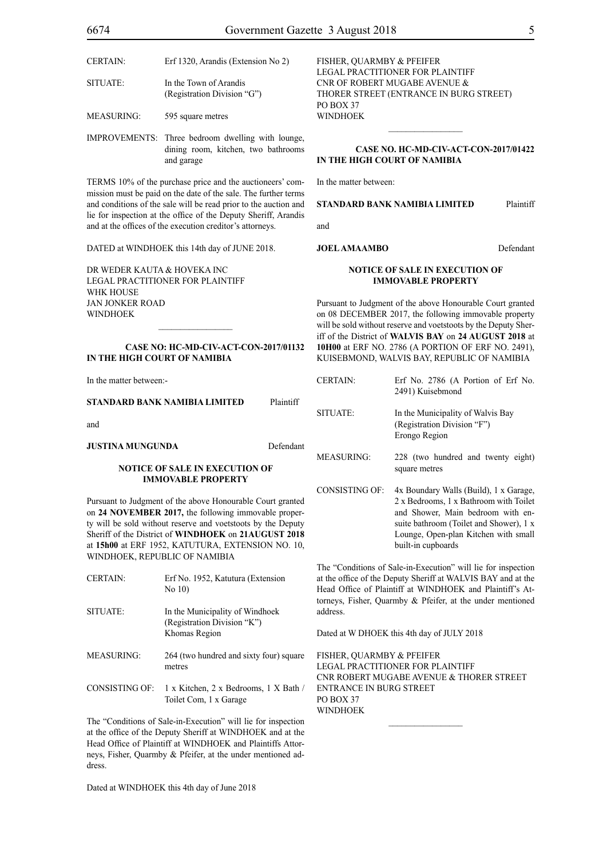CERTAIN: Erf 1320, Arandis (Extension No 2) SITUATE: In the Town of Arandis

(Registration Division "G")

MEASURING: 595 square metres

IMPROVEMENTS: Three bedroom dwelling with lounge, dining room, kitchen, two bathrooms and garage

TERMS 10% of the purchase price and the auctioneers' commission must be paid on the date of the sale. The further terms and conditions of the sale will be read prior to the auction and lie for inspection at the office of the Deputy Sheriff, Arandis and at the offices of the execution creditor's attorneys.

DATED at WINDHOEK this 14th day of JUNE 2018.

DR WEDER KAUTA & HOVEKA INC Legal Practitioner for Plaintiff WHK HOUSE Jan Jonker Road WINDHOEK

#### **CASE NO: HC-MD-CIV-ACT-CON-2017/01132 IN THE HIGH COURT OF NAMIBIA**

In the matter between:-

**STANDARD BANK NAMIBIA LIMITED** Plaintiff

and

**JUSTINA MUNGUNDA** Defendant

#### **NOTICE OF SALE IN EXECUTION OF IMMOVABLE PROPERTY**

Pursuant to Judgment of the above Honourable Court granted on **24 NOVEMBER 2017,** the following immovable property will be sold without reserve and voetstoots by the Deputy Sheriff of the District of **WINDHOEK** on **21AUGUST 2018** at **15h00** at ERF 1952, KATUTURA, EXTENSION NO. 10, WINDHOEK, REPUBLIC OF NAMIBIA

| <b>CERTAIN:</b>   | Erf No. 1952, Katutura (Extension<br>No $10$ )                                  |
|-------------------|---------------------------------------------------------------------------------|
| SITUATE:          | In the Municipality of Windhoek<br>(Registration Division "K")<br>Khomas Region |
| <b>MEASURING:</b> | 264 (two hundred and sixty four) square<br>metres                               |

CONSISTING OF: 1 x Kitchen, 2 x Bedrooms, 1 X Bath / Toilet Com, 1 x Garage

The "Conditions of Sale-in-Execution" will lie for inspection at the office of the Deputy Sheriff at WINDHOEK and at the Head Office of Plaintiff at WINDHOEK and Plaintiffs Attorneys, Fisher, Quarmby & Pfeifer, at the under mentioned address.

Dated at WINDHOEK this 4th day of June 2018

FISHER, QUARMBY & PFEIFER LEGAL PRACTITIONER FOR Plaintiff Cnr of Robert Mugabe Avenue & Thorer Street (entrance in Burg Street) PO BOX 37 WINDHOEK

#### **CASE No. HC-MD-CIV-ACT-CON-2017/01422 IN THE HIGH COURT OF NAMIBIA**

 $\frac{1}{2}$ 

In the matter between:

**STANDARD BANK NAMIBIA LIMITED** Plaintiff

and

#### **JOEL AMAAMBO** Defendant

#### **NOTICE OF SALE IN EXECUTION OF IMMOVABLE PROPERTY**

Pursuant to Judgment of the above Honourable Court granted on 08 DECEMBER 2017, the following immovable property will be sold without reserve and voetstoots by the Deputy Sheriff of the District of **WALVIS BAY** on **24 AUGUST 2018** at **10H00** at ERF NO. 2786 (A PORTION OF ERF NO. 2491), KUISEBMOND, WALVIS BAY, REPUBLIC OF NAMIBIA

| <b>CERTAIN:</b>   | Erf No. 2786 (A Portion of Erf No.<br>2491) Kuisebmond                            |
|-------------------|-----------------------------------------------------------------------------------|
| SITUATE:          | In the Municipality of Walvis Bay<br>(Registration Division "F")<br>Erongo Region |
| <b>MEASURING:</b> | 228 (two hundred and twenty eight)<br>square metres                               |
| CONSISTING OF:    | 4x Boundary Walls (Build), 1 x Garage,                                            |

2 x Bedrooms, 1 x Bathroom with Toilet and Shower, Main bedroom with ensuite bathroom (Toilet and Shower), 1 x Lounge, Open-plan Kitchen with small built-in cupboards

The "Conditions of Sale-in-Execution" will lie for inspection at the office of the Deputy Sheriff at WALVIS BAY and at the Head Office of Plaintiff at WINDHOEK and Plaintiff's Attorneys, Fisher, Quarmby & Pfeifer, at the under mentioned address.

Dated at W DHOEK this 4th day of JULY 2018

FISHER, QUARMBY & PFEIFER LEGAL PRACTITIONER FOR Plaintiff Cnr Robert Mugabe Avenue & Thorer Street Entrance in Burg Street PO Box 37 **WINDHOEK** 

 $\frac{1}{2}$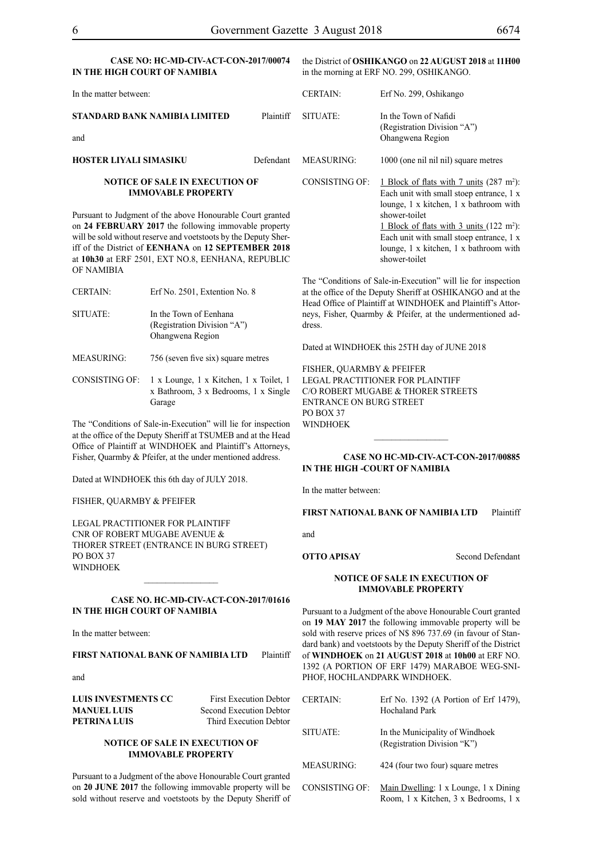#### **CASE NO: HC-MD-CIV-ACT-CON-2017/00074 IN THE HIGH COURT OF NAMIBIA**

the District of **OSHIKANGO** on **22 AUGUST 2018** at **11H00**  in the morning at ERF NO. 299, OSHIKANGO.

| In the matter between:                                             |           | <b>CERTAIN:</b>   | Erf No. 299, Oshikango                                                                                                                  |
|--------------------------------------------------------------------|-----------|-------------------|-----------------------------------------------------------------------------------------------------------------------------------------|
| STANDARD BANK NAMIBIA LIMITED<br>and                               | Plaintiff | SITUATE:          | In the Town of Nafidi<br>(Registration Division "A")<br>Ohangwena Region                                                                |
| <b>HOSTER LIYALI SIMASIKU</b>                                      | Defendant | <b>MEASURING:</b> | 1000 (one nil nil nil) square metres                                                                                                    |
| <b>NOTICE OF SALE IN EXECUTION OF</b><br><b>IMMOVABLE PROPERTY</b> |           | CONSISTING OF:    | 1 Block of flats with 7 units (287 m <sup>2</sup> )<br>Each unit with small stoep entrance, 1<br>lounge, 1 x kitchen, 1 x bathroom with |
| Pursuant to Judgment of the above Honourable Court granted         |           |                   | shower-toilet                                                                                                                           |

on **24 FEBRUARY 2017** the following immovable property will be sold without reserve and voetstoots by the Deputy Sheriff of the District of **EENHANA** on **12 SEPTEMBER 2018** at **10h30** at ERF 2501, EXT NO.8, EENHANA, REPUBLIC OF NAMIBIA

| <b>CERTAIN:</b>   | Erf No. 2501, Extention No. 8      | at : |
|-------------------|------------------------------------|------|
|                   |                                    | He   |
| SITUATE:          | In the Town of Eenhana             | ne   |
|                   | (Registration Division "A")        | dre  |
|                   | Ohangwena Region                   |      |
|                   |                                    | Dа   |
| <b>MEASURING:</b> | 756 (seven five six) square metres |      |

CONSISTING OF: 1 x Lounge, 1 x Kitchen, 1 x Toilet, 1 x Bathroom, 3 x Bedrooms, 1 x Single Garage

The "Conditions of Sale-in-Execution" will lie for inspection at the office of the Deputy Sheriff at TSUMEB and at the Head Office of Plaintiff at WINDHOEK and Plaintiff's Attorneys, Fisher, Quarmby & Pfeifer, at the under mentioned address.

Dated at WINDHOEK this 6th day of JULY 2018.

FISHER, QUARMBY & PFEIFER

LEGAL PRACTITIONER FOR Plaintiff Cnr of Robert Mugabe Avenue & Thorer Street (entrance in Burg Street) PO BOX 37 **WINDHOEK** 

#### **CASE No. HC-MD-CIV-ACT-CON-2017/01616 IN THE HIGH COURT OF NAMIBIA**

 $\frac{1}{2}$ 

In the matter between:

#### **FIRST NATIONAL BANK OF NAMIBIA LTD** Plaintiff

and

| LUIS INVESTMENTS CC | <b>First Execution Debtor</b>  |
|---------------------|--------------------------------|
| MANUEL LUIS-        | <b>Second Execution Debtor</b> |
| PETRINA LUIS-       | Third Execution Debtor         |

#### **NOTICE OF SALE IN EXECUTION OF IMMOVABLE PROPERTY**

Pursuant to a Judgment of the above Honourable Court granted on **20 JUNE 2017** the following immovable property will be sold without reserve and voetstoots by the Deputy Sheriff of

): Each unit with small stoep entrance, 1 x lounge, 1 x kitchen, 1 x bathroom with 1 Block of flats with 3 units  $(122 \text{ m}^2)$ : Each unit with small stoep entrance, 1 x lounge, 1 x kitchen, 1 x bathroom with shower-toilet

The "Conditions of Sale-in-Execution" will lie for inspection the office of the Deputy Sheriff at OSHIKANGO and at the ead Office of Plaintiff at WINDHOEK and Plaintiff's Attorys, Fisher, Quarmby  $&$  Pfeifer, at the undermentioned adess.

ated at WINDHOEK this 25TH day of JUNE 2018

FISHER, QUARMBY & PFEIFER LEGAL PRACTITIONER FOR Plaintiff c/o Robert Mugabe & Thorer Streets entrance on Burg Street PO BOX 37 WINDHOEK

#### **CASE NO HC-MD-CIV-ACT-CON-2017/00885 IN THE HIGH -COURT OF NAMIBIA**

In the matter between:

**FIRST NATIONAL BANK OF NAMIBIA LTD** Plaintiff

and

#### **OTTO APISAY** Second Defendant

#### **NOTICE OF SALE IN EXECUTION OF IMMOVABLE PROPERTY**

Pursuant to a Judgment of the above Honourable Court granted on **19 MAY 2017** the following immovable property will be sold with reserve prices of N\$ 896 737.69 (in favour of Standard bank) and voetstoots by the Deputy Sheriff of the District of **WINDHOEK** on **21 AUGUST 2018** at **10h00** at ERF NO. 1392 (A PORTION OF ERF 1479) MARABOE WEG-SNI-PHOF, HOCHLANDPARK WINDHOEK.

| <b>CERTAIN:</b>   | Erf No. 1392 (A Portion of Erf 1479),<br><b>Hochaland Park</b>                |
|-------------------|-------------------------------------------------------------------------------|
| SITUATE:          | In the Municipality of Windhoek<br>(Registration Division "K")                |
| <b>MEASURING:</b> | 424 (four two four) square metres                                             |
| CONSISTING OF:    | Main Dwelling: 1 x Lounge, 1 x Dining<br>Room, 1 x Kitchen, 3 x Bedrooms, 1 x |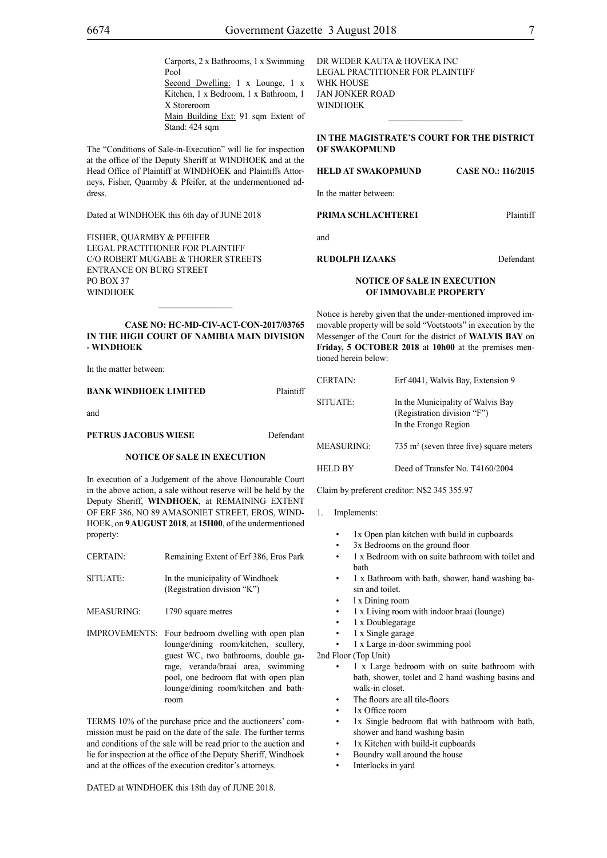Carports, 2 x Bathrooms, 1 x Swimming

Second Dwelling: 1 x Lounge, 1 x Kitchen, 1 x Bedroom, 1 x Bathroom, 1 X Storeroom Main Building Ext: 91 sqm Extent of Stand: 424 sqm

The "Conditions of Sale-in-Execution" will lie for inspection at the office of the Deputy Sheriff at WINDHOEK and at the Head Office of Plaintiff at WINDHOEK and Plaintiffs Attorneys, Fisher, Quarmby & Pfeifer, at the undermentioned address.

Dated at WINDHOEK this 6th day of JUNE 2018

Pool

FISHER, QUARMBY & PFEIFER LEGAL PRACTITIONER FOR Plaintiff c/o Robert Mugabe & Thorer Streets entrance on Burg Street PO BOX 37 WINDHOEK

**CASE NO: HC-MD-CIV-ACT-CON-2017/03765 IN THE HIGH COURT OF NAMIBIA MAIN DIVISION - WINDHOEK**

 $\frac{1}{2}$ 

In the matter between:

**BANK WINDHOEK LIMITED** Plaintiff

and

#### **PETRUS JACOBUS WIESE** Defendant

#### **NOTICE OF SALE IN EXECUTION**

In execution of a Judgement of the above Honourable Court in the above action, a sale without reserve will be held by the Deputy Sheriff, **WINDHOEK**, at REMAINING EXTENT OF ERF 386, NO 89 AMASONIET STREET, EROS, WIND-HOEK, on **9 AUGUST 2018**, at **15H00**, of the undermentioned property:

- CERTAIN: Remaining Extent of Erf 386, Eros Park
- SITUATE: In the municipality of Windhoek (Registration division "K")
- MEASURING: 1790 square metres
- IMPROVEMENTS: Four bedroom dwelling with open plan lounge/dining room/kitchen, scullery, guest WC, two bathrooms, double garage, veranda/braai area, swimming pool, one bedroom flat with open plan lounge/dining room/kitchen and bathroom

TERMS 10% of the purchase price and the auctioneers' commission must be paid on the date of the sale. The further terms and conditions of the sale will be read prior to the auction and lie for inspection at the office of the Deputy Sheriff, Windhoek and at the offices of the execution creditor's attorneys.

DATED at WINDHOEK this 18th day of JUNE 2018.

DR WEDER KAUTA & HOVEKA INC Legal Practitioner for Plaintiff WHK HOUSE Jan Jonker Road WINDHOEK

#### **IN THE MAGISTRATE'S COURT FOR THE DISTRICT OF SWAKOPMUND**

 $\frac{1}{2}$ 

#### **HELD AT SWAKOPMUND CASE NO.: 116/2015**

In the matter between:

#### **PRIMA SCHLACHTEREI** Plaintiff

and

#### **RUDOLPH IZAAKS** Defendant

#### **NOTICE OF SALE IN EXECUTION OF IMMOVABLE PROPERTY**

Notice is hereby given that the under-mentioned improved immovable property will be sold "Voetstoots" in execution by the Messenger of the Court for the district of **WALVIS BAY** on **Friday, 5 OCTOBER 2018** at **10h00** at the premises mentioned herein below:

| <b>CERTAIN:</b> | Erf 4041, Walvis Bay, Extension 9                                                        |
|-----------------|------------------------------------------------------------------------------------------|
| SITUATE:        | In the Municipality of Walvis Bay<br>(Registration division "F")<br>In the Erongo Region |
| MEASURING:      | $735 \text{ m}^2$ (seven three five) square meters                                       |
| <b>HELD BY</b>  | Deed of Transfer No. T4160/2004                                                          |

Claim by preferent creditor: N\$2 345 355.97

#### 1. Implements:

- 1x Open plan kitchen with build in cupboards
- 3x Bedrooms on the ground floor
- 1 x Bedroom with on suite bathroom with toilet and bath
- 1 x Bathroom with bath, shower, hand washing basin and toilet.
- l x Dining room
- 1 x Living room with indoor braai (lounge)
- 1 x Doublegarage
- 1 x Single garage
- 1 x Large in-door swimming pool
- 2nd Floor (Top Unit)
	- 1 x Large bedroom with on suite bathroom with bath, shower, toilet and 2 hand washing basins and walk-in closet.
	- The floors are all tile-floors
	- 1x Office room
	- 1x Single bedroom flat with bathroom with bath, shower and hand washing basin
	- 1x Kitchen with build-it cupboards
	- Boundry wall around the house
	- Interlocks in yard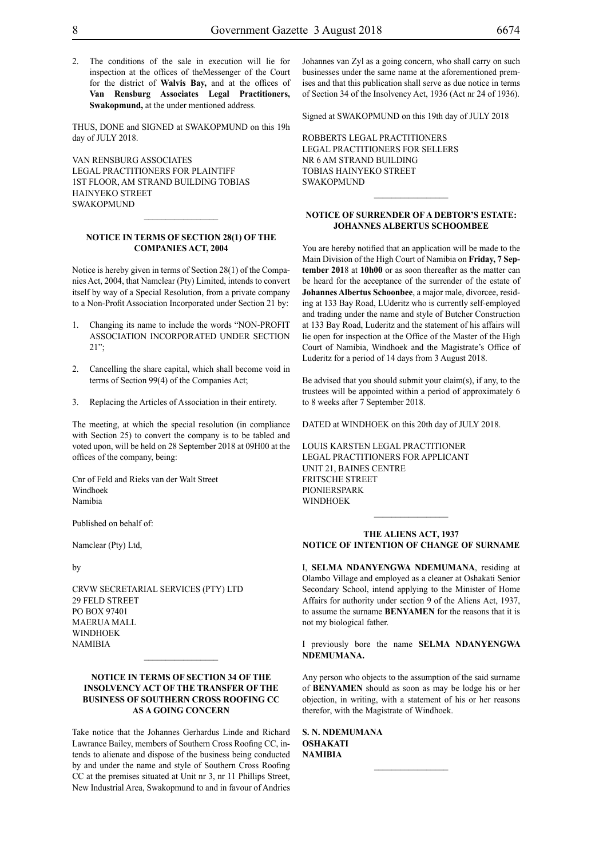2. The conditions of the sale in execution will lie for inspection at the offices of theMessenger of the Court for the district of **Walvis Bay,** and at the offices of **Van Rensburg Associates Legal Practitioners, Swakopmund,** at the under mentioned address.

THUS, DONE and SIGNED at SWAKOPMUND on this 19h day of JULY 2018.

VAN RENSBURG ASSOCIATES Legal Practitioners for Plaintiff 1sT Floor, Am Strand Building Tobias Hainyeko Street **SWAKOPMUND** 

#### **NOTICE IN TERMS OF SECTION 28(1) OF THE COMPANIES ACT, 2004**

Notice is hereby given in terms of Section 28(1) of the Companies Act, 2004, that Namclear (Pty) Limited, intends to convert itself by way of a Special Resolution, from a private company to a Non-Profit Association Incorporated under Section 21 by:

- 1. Changing its name to include the words "NON-PROFIT ASSOCIATION INCORPORATED UNDER SECTION 21";
- 2. Cancelling the share capital, which shall become void in terms of Section 99(4) of the Companies Act;
- 3. Replacing the Articles of Association in their entirety.

The meeting, at which the special resolution (in compliance with Section 25) to convert the company is to be tabled and voted upon, will be held on 28 September 2018 at 09H00 at the offices of the company, being:

Cnr of Feld and Rieks van der Walt Street Windhoek Namibia

Published on behalf of:

Namclear (Pty) Ltd,

by

CRVW Secretarial Services (Pty) Ltd 29 Feld Street PO Box 97401 Maerua Mall **WINDHOEK NAMIBIA** 

#### **NOTICE IN TERMS OF SECTION 34 OF THE INSOLVENCY ACT OF THE TRANSFER OF THE BUSINESS OF SOUTHERN CROSS ROOFING CC AS A GOING CONCERN**

 $\frac{1}{2}$ 

Take notice that the Johannes Gerhardus Linde and Richard Lawrance Bailey, members of Southern Cross Roofing CC, intends to alienate and dispose of the business being conducted by and under the name and style of Southern Cross Roofing CC at the premises situated at Unit nr 3, nr 11 Phillips Street, New Industrial Area, Swakopmund to and in favour of Andries Johannes van Zyl as a going concern, who shall carry on such businesses under the same name at the aforementioned premises and that this publication shall serve as due notice in terms of Section 34 of the Insolvency Act, 1936 (Act nr 24 of 1936).

Signed at SWAKOPMUND on this 19th day of JULY 2018

ROBBERTS LEGAL PRACTITIONERS Legal Practitioners for Sellers Nr 6 Am Strand Building Tobias Hainyeko Street **SWAKOPMUND** 

#### **NOTICE OF SURRENDER OF A DEBTOR'S ESTATE: JOHANNES ALBERTUS SCHOOMBEE**

 $\frac{1}{2}$ 

You are hereby notified that an application will be made to the Main Division of the High Court of Namibia on **Friday, 7 September 201**8 at **10h00** or as soon thereafter as the matter can be heard for the acceptance of the surrender of the estate of **Johannes Albertus Schoonbee**, a major male, divorcee, residing at 133 Bay Road, LUderitz who is currently self-employed and trading under the name and style of Butcher Construction at 133 Bay Road, Luderitz and the statement of his affairs will lie open for inspection at the Office of the Master of the High Court of Namibia, Windhoek and the Magistrate's Office of Luderitz for a period of 14 days from 3 August 2018.

Be advised that you should submit your claim(s), if any, to the trustees will be appointed within a period of approximately 6 to 8 weeks after 7 September 2018.

DATED at WINDHOEK on this 20th day of JULY 2018.

Louis Karsten Legal Practitioner Legal Practitioners for Applicant Unit 21, Baines Centre Fritsche Street **PIONIERSPARK WINDHOEK** 

#### **THE ALIENS ACT, 1937 NOTICE OF INTENTION OF CHANGE OF SURNAME**

I, **selma ndanyengwa ndemumana**, residing at Olambo Village and employed as a cleaner at Oshakati Senior Secondary School, intend applying to the Minister of Home Affairs for authority under section 9 of the Aliens Act, 1937, to assume the surname **BENYAMEN** for the reasons that it is not my biological father.

I previously bore the name **SELMA NDANYENGWA ndemumana.**

Any person who objects to the assumption of the said surname of **benyamen** should as soon as may be lodge his or her objection, in writing, with a statement of his or her reasons therefor, with the Magistrate of Windhoek.

 $\frac{1}{2}$ 

**s. n. ndemumana oshakati NAMIBIA**